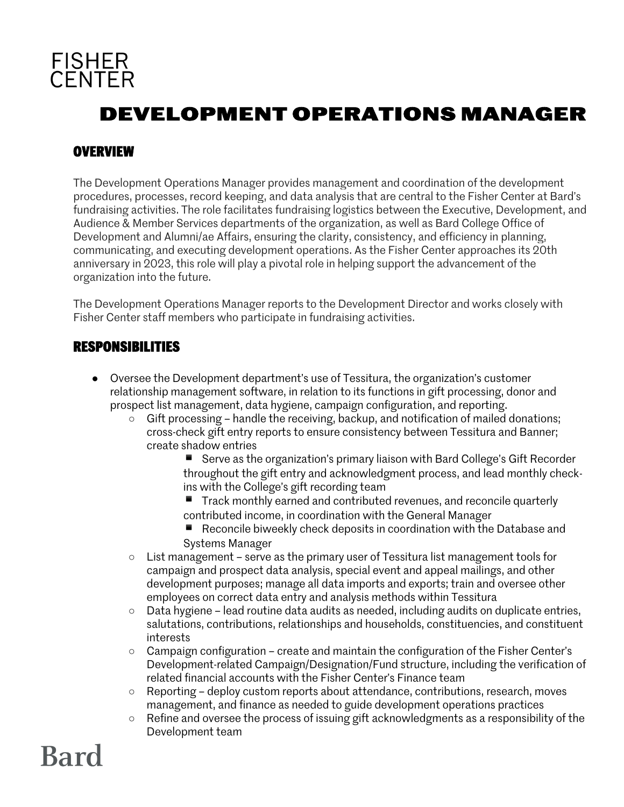

## **DEVELOPMENT OPERATIONS MANAGER**

#### **OVERVIEW**

The Development Operations Manager provides management and coordination of the development procedures, processes, record keeping, and data analysis that are central to the Fisher Center at Bard's fundraising activities. The role facilitates fundraising logistics between the Executive, Development, and Audience & Member Services departments of the organization, as well as Bard College Office of Development and Alumni/ae Affairs, ensuring the clarity, consistency, and efficiency in planning, communicating, and executing development operations. As the Fisher Center approaches its 20th anniversary in 2023, this role will play a pivotal role in helping support the advancement of the organization into the future.

The Development Operations Manager reports to the Development Director and works closely with Fisher Center staff members who participate in fundraising activities.

#### **RESPONSIBILITIES**

- Oversee the Development department's use of Tessitura, the organization's customer relationship management software, in relation to its functions in gift processing, donor and prospect list management, data hygiene, campaign configuration, and reporting.
	- $\circ$  Gift processing handle the receiving, backup, and notification of mailed donations; cross-check gift entry reports to ensure consistency between Tessitura and Banner; create shadow entries
		- Serve as the organization's primary liaison with Bard College's Gift Recorder throughout the gift entry and acknowledgment process, and lead monthly checkins with the College's gift recording team
		- $\blacksquare$  Track monthly earned and contributed revenues, and reconcile quarterly contributed income, in coordination with the General Manager
		- $\blacksquare$  Reconcile biweekly check deposits in coordination with the Database and Systems Manager
	- $\circ$  List management serve as the primary user of Tessitura list management tools for campaign and prospect data analysis, special event and appeal mailings, and other development purposes; manage all data imports and exports; train and oversee other employees on correct data entry and analysis methods within Tessitura
	- Data hygiene lead routine data audits as needed, including audits on duplicate entries, salutations, contributions, relationships and households, constituencies, and constituent interests
	- Campaign configuration create and maintain the configuration of the Fisher Center's Development-related Campaign/Designation/Fund structure, including the verification of related financial accounts with the Fisher Center's Finance team
	- Reporting deploy custom reports about attendance, contributions, research, moves management, and finance as needed to guide development operations practices
	- Refine and oversee the process of issuing gift acknowledgments as a responsibility of the Development team

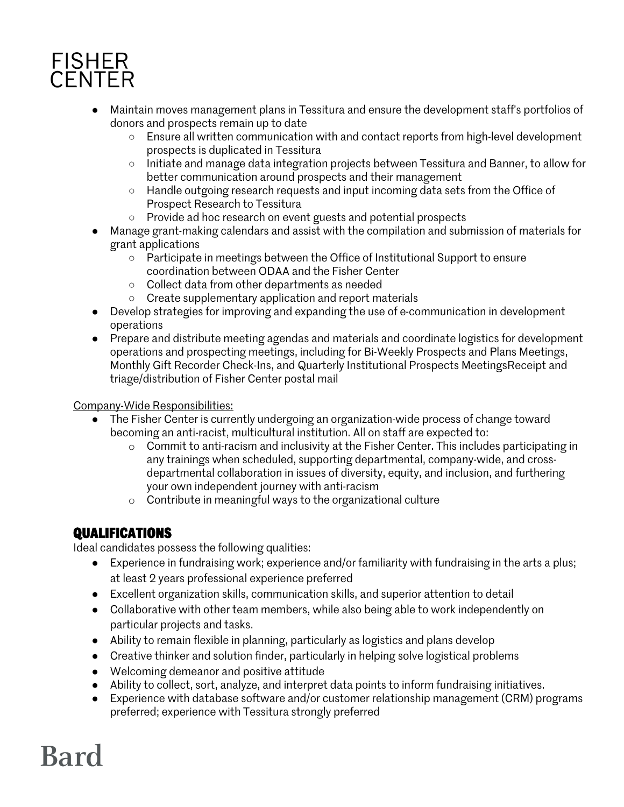## **FISHER CENTER**

- Maintain moves management plans in Tessitura and ensure the development staff's portfolios of donors and prospects remain up to date
	- Ensure all written communication with and contact reports from high-level development prospects is duplicated in Tessitura
	- Initiate and manage data integration projects between Tessitura and Banner, to allow for better communication around prospects and their management
	- Handle outgoing research requests and input incoming data sets from the Office of Prospect Research to Tessitura
	- Provide ad hoc research on event guests and potential prospects
- Manage grant-making calendars and assist with the compilation and submission of materials for grant applications
	- Participate in meetings between the Office of Institutional Support to ensure coordination between ODAA and the Fisher Center
	- Collect data from other departments as needed
	- Create supplementary application and report materials
- Develop strategies for improving and expanding the use of e-communication in development operations
- Prepare and distribute meeting agendas and materials and coordinate logistics for development operations and prospecting meetings, including for Bi-Weekly Prospects and Plans Meetings, Monthly Gift Recorder Check-Ins, and Quarterly Institutional Prospects MeetingsReceipt and triage/distribution of Fisher Center postal mail

Company-Wide Responsibilities:

- The Fisher Center is currently undergoing an organization-wide process of change toward becoming an anti-racist, multicultural institution. All on staff are expected to:
	- o Commit to anti-racism and inclusivity at the Fisher Center. This includes participating in any trainings when scheduled, supporting departmental, company-wide, and crossdepartmental collaboration in issues of diversity, equity, and inclusion, and furthering your own independent journey with anti-racism
	- o Contribute in meaningful ways to the organizational culture

### **QUALIFICATIONS**

Ideal candidates possess the following qualities:

- Experience in fundraising work; experience and/or familiarity with fundraising in the arts a plus; at least 2 years professional experience preferred
- Excellent organization skills, communication skills, and superior attention to detail
- Collaborative with other team members, while also being able to work independently on particular projects and tasks.
- Ability to remain flexible in planning, particularly as logistics and plans develop
- Creative thinker and solution finder, particularly in helping solve logistical problems
- Welcoming demeanor and positive attitude
- Ability to collect, sort, analyze, and interpret data points to inform fundraising initiatives.
- Experience with database software and/or customer relationship management (CRM) programs preferred; experience with Tessitura strongly preferred

# **Bard**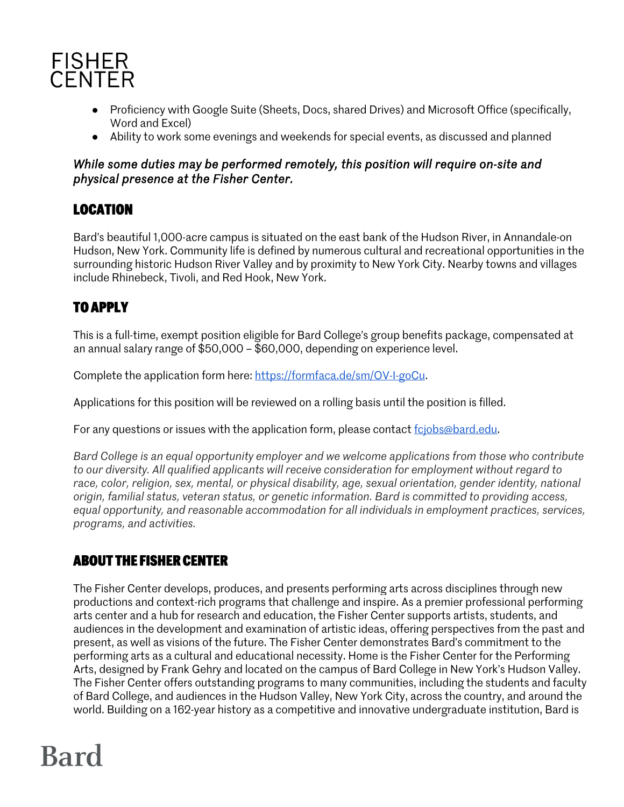

- Proficiency with Google Suite (Sheets, Docs, shared Drives) and Microsoft Office (specifically, Word and Excel)
- Ability to work some evenings and weekends for special events, as discussed and planned

#### *While some duties may be performed remotely, this position will require on-site and physical presence at the Fisher Center.*

### **LOCATION**

Bard's beautiful 1,000-acre campus is situated on the east bank of the Hudson River, in Annandale-on Hudson, New York. Community life is defined by numerous cultural and recreational opportunities in the surrounding historic Hudson River Valley and by proximity to New York City. Nearby towns and villages include Rhinebeck, Tivoli, and Red Hook, New York.

### **TO APPLY**

This is a full-time, exempt position eligible for Bard College's group benefits package, compensated at an annual salary range of \$50,000 – \$60,000, depending on experience level.

Complete the application form here: https://formfaca.de/sm/OV-I-goCu.

Applications for this position will be reviewed on a rolling basis until the position is filled.

For any questions or issues with the application form, please contact fcjobs@bard.edu.

*Bard College is an equal opportunity employer and we welcome applications from those who contribute to our diversity. All qualified applicants will receive consideration for employment without regard to race, color, religion, sex, mental, or physical disability, age, sexual orientation, gender identity, national origin, familial status, veteran status, or genetic information. Bard is committed to providing access, equal opportunity, and reasonable accommodation for all individuals in employment practices, services, programs, and activities.*

### **ABOUT THE FISHER CENTER**

The Fisher Center develops, produces, and presents performing arts across disciplines through new productions and context-rich programs that challenge and inspire. As a premier professional performing arts center and a hub for research and education, the Fisher Center supports artists, students, and audiences in the development and examination of artistic ideas, offering perspectives from the past and present, as well as visions of the future. The Fisher Center demonstrates Bard's commitment to the performing arts as a cultural and educational necessity. Home is the Fisher Center for the Performing Arts, designed by Frank Gehry and located on the campus of Bard College in New York's Hudson Valley. The Fisher Center offers outstanding programs to many communities, including the students and faculty of Bard College, and audiences in the Hudson Valley, New York City, across the country, and around the world. Building on a 162-year history as a competitive and innovative undergraduate institution, Bard is

# **Bard**